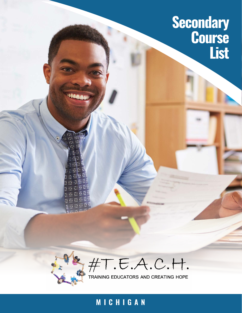## **Secondary Course List**



#T.E.A.C.H.<br>TRAINING EDUCATORS AND CREATING HOPE

## **MICHIGAN**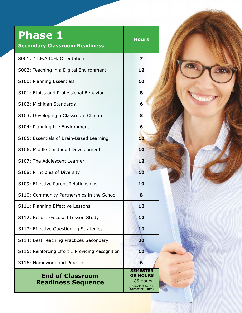| <b>Phase 1</b><br><b>Secondary Classroom Readiness</b> | <b>Hours</b>                                                                              |
|--------------------------------------------------------|-------------------------------------------------------------------------------------------|
| S001: #T.E.A.C.H. Orientation                          | 7                                                                                         |
| S002: Teaching in a Digital Environment                | 12                                                                                        |
| S100: Planning Essentials                              | 10                                                                                        |
| S101: Ethics and Professional Behavior                 | 8                                                                                         |
| S102: Michigan Standards                               | 6                                                                                         |
| S103: Developing a Classroom Climate                   | 8                                                                                         |
| S104: Planning the Environment                         | 6                                                                                         |
| S105: Essentials of Brain-Based Learning               | 10                                                                                        |
| S106: Middle Childhood Development                     | 10                                                                                        |
| S107: The Adolescent Learner                           | 12                                                                                        |
| S108: Principles of Diversity                          | 10                                                                                        |
| S109: Effective Parent Relationships                   | 10                                                                                        |
| S110: Community Partnerships in the School             | 8                                                                                         |
| S111: Planning Effective Lessons                       | 10                                                                                        |
| S112: Results-Focused Lesson Study                     | 12                                                                                        |
| S113: Effective Questioning Strategies                 | 10                                                                                        |
| S114: Best Teaching Practices Secondary                | 20                                                                                        |
| S115: Reinforcing Effort & Providing Recognition       | 10                                                                                        |
| S116: Homework and Practice                            | 6                                                                                         |
| <b>End of Classroom</b><br><b>Readiness Sequence</b>   | <b>SEMESTER</b><br><b>OR HOURS</b><br>185 Hours<br>(Equivalent to 7.40<br>Semester Hours) |